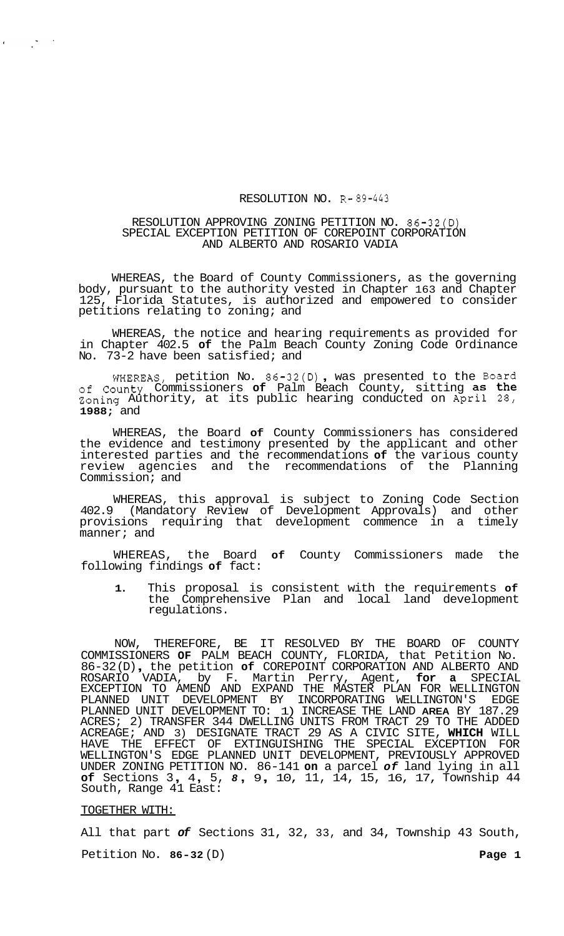#### RESOLUTION NO. R- *89-443*

# RESOLUTION APPROVING ZONING PETITION NO. 86-32(D) SPECIAL EXCEPTION PETITION OF COREPOINT CORPORATION AND ALBERTO AND ROSARIO VADIA

WHEREAS, the Board of County Commissioners, as the governing body, pursuant to the authority vested in Chapter 163 and Chapter 125, Florida Statutes, is authorized and empowered to consider petitions relating to zoning; and

WHEREAS, the notice and hearing requirements as provided for in Chapter 402.5 **of** the Palm Beach County Zoning Code Ordinance No. 73-2 have been satisfied; and

WHEREAS, petition No. 86-32(D) , was presented to the Board **of** County Commissioners **of** Palm Beach County, sitting as the Zoning Authority, at its public hearing conducted on April 28, **1988;** and

WHEREAS, the Board **of** County Commissioners has considered the evidence and testimony presented by the applicant and other interested parties and the recommendations **of** the various county review agencies and the recommendations of the Planning Commission; and

WHEREAS, this approval is subject to Zoning Code Section 402.9 (Mandatory Review of Development Approvals) and other provisions requiring that development commence in a timely manner; and

WHEREAS, the Board **of** County Commissioners made the following findings **of** fact:

**1.** This proposal is consistent with the requirements **of**  the Comprehensive Plan and local land development regulations.

NOW, THEREFORE, BE IT RESOLVED BY THE BOARD OF COUNTY COMMISSIONERS **OF** PALM BEACH COUNTY, FLORIDA, that Petition No. 86-32 (D) , the petition **of** COREPOINT CORPORATION AND ALBERTO AND ROSARIO VADIA, by F. Martin Perry, Agent, **for a** SPECIAL EXCEPTION TO AMEND AND EXPAND THE MASTER PLAN FOR WELLINGTON PLANNED UNIT DEVELOPMENT BY INCORPORATING WELLINGTON'S EDGE PLANNED UNIT DEVELOPMENT TO: 1) INCREASE THE LAND **AREA** BY 187.29 ACRES; 2) TRANSFER 344 DWELLING UNITS FROM TRACT 29 TO THE ADDED ACREAGE; AND 3) DESIGNATE TRACT 29 AS A CIVIC SITE, **WHICH** WILL HAVE THE EFFECT OF EXTINGUISHING THE SPECIAL EXCEPTION FOR WELLINGTON'S EDGE PLANNED UNIT DEVELOPMENT, PREVIOUSLY APPROVED UNDER ZONING PETITION NO. 86-141 **on** a parcel *of* land lying in all **of** Sections 3 , 4 , 5, *8* , 9 , 10, 11, 14, 15, 16, 17, Township 44 South, Range 41 East:

#### TOGETHER WITH:

 $\frac{1}{2} \sum_{i=1}^n \frac{1}{i} \frac{1}{i} \frac{1}{i} \frac{1}{i}$ 

All that part *of* Sections 31, 32, 33, and 34, Township 43 South, Petition No. 86-32 (D) **Page 1**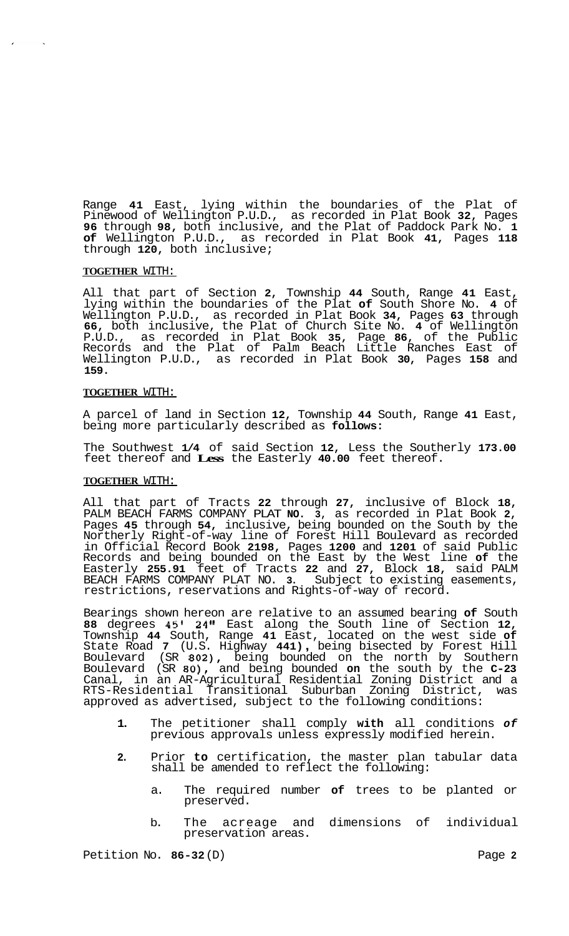Range **41** East, lying within the boundaries of the Plat of Pinewood of Wellington P.U.D., as recorded in Plat Book **32,** Pages **96** through **98,** both inclusive, and the Plat of Paddock Park No. **1 of** Wellington P.U.D., as recorded in Plat Book **41,** Pages **118**  through **120,** both inclusive;

# **TOGETHER** WITH:

All that part of Section **2,** Township **44** South, Range **41** East, lying within the boundaries of the Plat **of** South Shore No. **4** of Wellington P.U.D., as recorded in Plat Book **34,** Pages **63** through **66,** both inclusive, the Plat of Church Site No. **4** of Wellington P.U.D., as recorded in Plat Book **35,** Page **86,** of the Public Records and the Plat of Palm Beach Little Ranches East of Wellington P.U.D., as recorded in Plat Book **30,** Pages **158** and **159.** 

# **TOGETHER** WITH:

A parcel of land in Section **12,** Township **44** South, Range **41** East, being more particularly described as **follows:** 

The Southwest **1/4** of said Section **12,** Less the Southerly **173.00**  feet thereof and **Less** the Easterly **40.00** feet thereof.

#### **TOGETHER** WITH:

All that part of Tracts **22** through **27,** inclusive of Block **18,**  PALM BEACH FARMS COMPANY PLAT **NO. 3,** as recorded in Plat Book **2,**  Pages **45** through **54,** inclusive, being bounded on the South by the Northerly Right-of-way line of Forest Hill Boulevard as recorded in Official Record Book **2198,** Pages **1200** and **1201** of said Public Records and being bounded on the East by the West line **of** the Easterly **255.91** feet of Tracts **22** and **27,** Block **18,** said PALM BEACH FARMS COMPANY PLAT NO. **3.** Subject to existing easements, restrictions, reservations and Rights-of-way of record.

Bearings shown hereon are relative to an assumed bearing **of** South **88** degrees **45' 24"** East along the South line of Section **12,**  Township **44** South, Range **41** East, located on the west side **of**  State Road **7** (U.S. Highway **441)** , being bisected by Forest Hill Boulevard (SR **802),** being bounded on the north by Southern Boulevard (SR **80),** and being bounded **on** the south by the **C-23**  Canal, in an AR-Agricultural Residential Zoning District and a RTS-Residential Transitional Suburban Zoning District, was approved as advertised, subject to the following conditions:

- **1.** The petitioner shall comply **with** all conditions *of*  previous approvals unless expressly modified herein.
- **2.** Prior **to** certification, the master plan tabular data shall be amended to reflect the following:
	- a. The required number **of** trees to be planted or preserved.
	- b. The acreage and dimensions of individual preservation areas.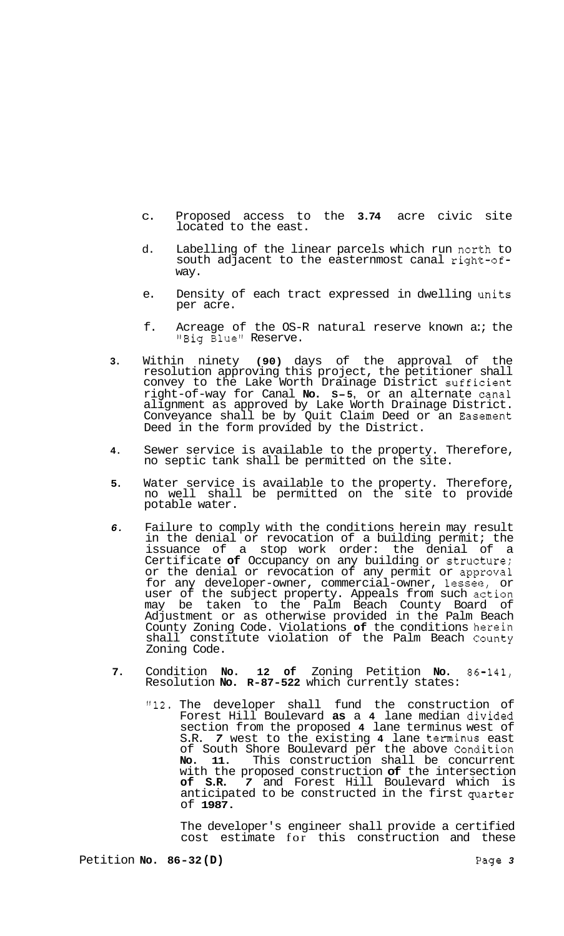- c. Proposed access to the **3.74** acre civic site located to the east.
- d. Labelling of the linear parcels which run north to south adjacent to the easternmost canal right-ofway.
- e. Density of each tract expressed in dwelling units per acre.
- f. Acreage of the OS-R natural reserve known a:; the 'Big Blue" Reserve.
- **3.** Within ninety **(90)** days of the approval of the resolution approving this project, the petitioner shall convey to the Lake Worth Drainage District sufficient right-of-way for Canal **No. S-5,** or an alternate 'canal alignment as approved by Lake Worth Drainage District. Conveyance shall be by Quit Claim Deed or an Easement Deed in the form provided by the District.
- **4.** Sewer service is available to the property. Therefore, no septic tank shall be permitted on the site.
- **5.** Water service is available to the property. Therefore, no well shall be permitted on the site to provide potable water.
- *6.* Failure to comply with the conditions herein may result in the denial or revocation of a building permit; the issuance of a stop work order: the denial of a Certificate **of** Occupancy on any building or struclture; or the denial or revocation of any permit or approval for any developer-owner, commercial-owner, lesseie, or user of the subject property. Appeals from such action may be taken to the Palm Beach County Board of Adjustment or as otherwise provided in the Palm Beach County Zoning Code. Violations of the conditions herein shall constitute violation of the Palm Beach County Zoning Code.
- 7. Condition **No. 12 of** Zoning Petition **No.** 86-141, Resolution **No. R-87-522** which currently states:
	- **"12.** The developer shall fund the construction of Forest Hill Boulevard **as** a **4** lane median divided section from the proposed **4** lane terminus west of S.R. *7* west to the existing **4** lane terminus east of South Shore Boulevard per the above Condition **No. 11.** This construction shall be concurrent with the proposed construction of the intersection of **S.R.** 7 and Forest Hill Boulevard which is **7** and Forest Hill Boulevard which anticipated to be constructed in the first quarter of **1987.**

The developer's engineer shall provide a certified cost estimate for this construction and these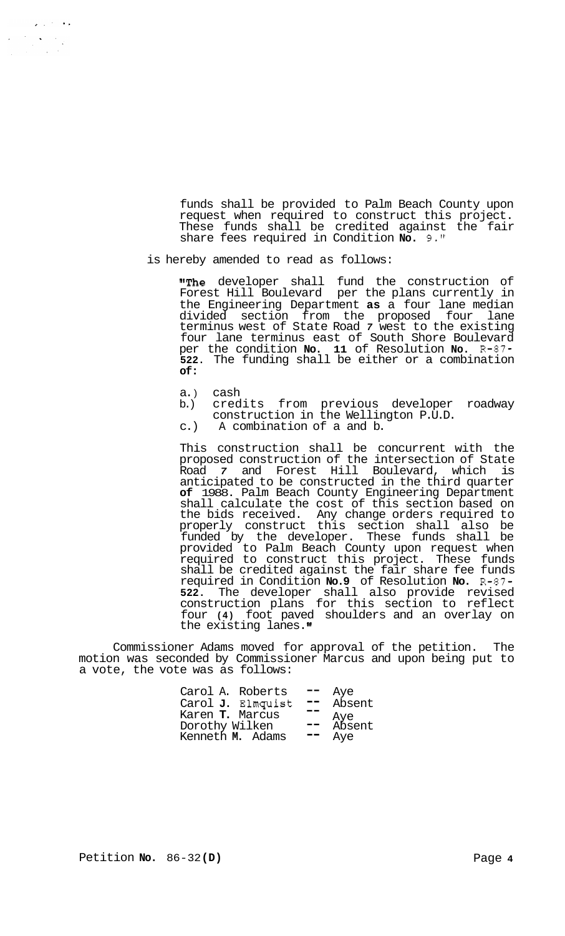funds shall be provided to Palm Beach County upon request when required to construct this project. These funds shall be credited against the fair share fees required in Condition **No.** 9."

is hereby amended to read as follows:

"The developer shall fund the construction of Forest Hill Boulevard per the plans currently in the Engineering Department **as** a four lane median divided section from the proposed four lane terminus west of State Road *7* west to the existing four lane terminus east of South Shore Boulevard per the condition **No. 11** of Resolution **No.** R-87- **522.** The funding shall be either or a combination **of:** 

a.) cash<br>b.) cred

 $\mathbf{z} \in \mathbb{R}^{d \times d}$  .  $\frac{1}{2} \sum_{i=1}^n \frac{1}{2} \sum_{j=1}^n \frac{1}{2} \sum_{j=1}^n \frac{1}{2} \sum_{j=1}^n \frac{1}{2} \sum_{j=1}^n \frac{1}{2} \sum_{j=1}^n \frac{1}{2} \sum_{j=1}^n \frac{1}{2} \sum_{j=1}^n \frac{1}{2} \sum_{j=1}^n \frac{1}{2} \sum_{j=1}^n \frac{1}{2} \sum_{j=1}^n \frac{1}{2} \sum_{j=1}^n \frac{1}{2} \sum_{j=1}^n \frac{1}{2} \sum_{j=$  $\frac{1}{2}$  ,  $\frac{1}{2}$ 

- b.) credits from previous developer roadway construction in the Wellington P.U.D.
- c.) A combination of a and b.

This construction shall be concurrent with the proposed construction of the intersection of State Road *7* and Forest Hill Boulevard, which is anticipated to be constructed in the third quarter **of** 1988. Palm Beach County Engineering Department shall calculate the cost of this section based on the bids received. Any change orders required to properly construct this section shall also be funded by the developer. These funds shall be provided to Palm Beach County upon request when required to construct this project. These funds shall be credited against the fair share fee funds required in Condition **No.9** of Resolution **No.** R-87- **522.** The developer shall also provide revised construction plans for this section to reflect four **(4)** foot paved shoulders and an overlay on the existing lanes."

Commissioner Adams moved for approval of the petition. The motion was seconded by Commissioner Marcus and upon being put to a vote, the vote was as follows:

| Carol A. Roberts                            | $\qquad \qquad \blacksquare$ | Aye           |
|---------------------------------------------|------------------------------|---------------|
| Carol J. Elmquist<br>Karen <b>T.</b> Marcus |                              | Absent        |
| Dorothy Wilken                              | $\sim$ $-$                   | Aye<br>Absent |
| Kenneth M. Adams                            |                              | Aye           |